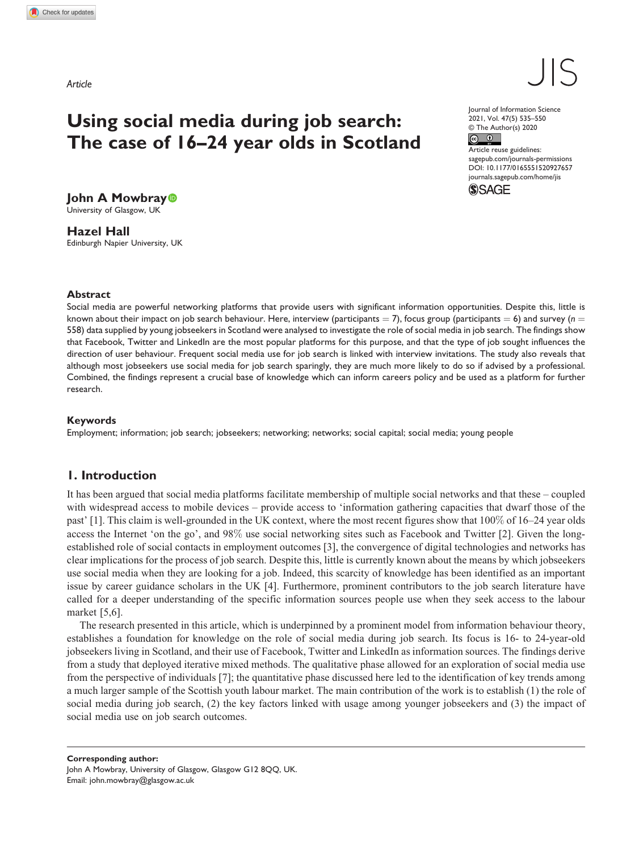*Article*

# Using social media during job search: The case of 16–24 year olds in Scotland

Journal of Information Science 2021, Vol. 47(5) 535–550 © The Author(s) 2020  $\circ$   $\circ$ 

DOI: 10.1177/0165551520927657 Article reuse guidelines: [sagepub.com/journals-permissions](https://uk.sagepub.com/en-gb/journals-permissions) [journals.sagepub.com/home/jis](https://journals.sagepub.com/home/jis)

**SSAGE** 

John A Mowbray<sup>®</sup> University of Glasgow, UK

Hazel Hall Edinburgh Napier University, UK

#### Abstract

Social media are powerful networking platforms that provide users with significant information opportunities. Despite this, little is known about their impact on job search behaviour. Here, interview (participants = 7), focus group (participants = 6) and survey ( $n =$ 558) data supplied by young jobseekers in Scotland were analysed to investigate the role of social media in job search. The findings show that Facebook, Twitter and LinkedIn are the most popular platforms for this purpose, and that the type of job sought influences the direction of user behaviour. Frequent social media use for job search is linked with interview invitations. The study also reveals that although most jobseekers use social media for job search sparingly, they are much more likely to do so if advised by a professional. Combined, the findings represent a crucial base of knowledge which can inform careers policy and be used as a platform for further research.

#### Keywords

Employment; information; job search; jobseekers; networking; networks; social capital; social media; young people

## 1. Introduction

It has been argued that social media platforms facilitate membership of multiple social networks and that these – coupled with widespread access to mobile devices – provide access to 'information gathering capacities that dwarf those of the past' [1]. This claim is well-grounded in the UK context, where the most recent figures show that 100% of 16–24 year olds access the Internet 'on the go', and 98% use social networking sites such as Facebook and Twitter [2]. Given the longestablished role of social contacts in employment outcomes [3], the convergence of digital technologies and networks has clear implications for the process of job search. Despite this, little is currently known about the means by which jobseekers use social media when they are looking for a job. Indeed, this scarcity of knowledge has been identified as an important issue by career guidance scholars in the UK [4]. Furthermore, prominent contributors to the job search literature have called for a deeper understanding of the specific information sources people use when they seek access to the labour market [5,6].

The research presented in this article, which is underpinned by a prominent model from information behaviour theory, establishes a foundation for knowledge on the role of social media during job search. Its focus is 16- to 24-year-old jobseekers living in Scotland, and their use of Facebook, Twitter and LinkedIn as information sources. The findings derive from a study that deployed iterative mixed methods. The qualitative phase allowed for an exploration of social media use from the perspective of individuals [7]; the quantitative phase discussed here led to the identification of key trends among a much larger sample of the Scottish youth labour market. The main contribution of the work is to establish (1) the role of social media during job search, (2) the key factors linked with usage among younger jobseekers and (3) the impact of social media use on job search outcomes.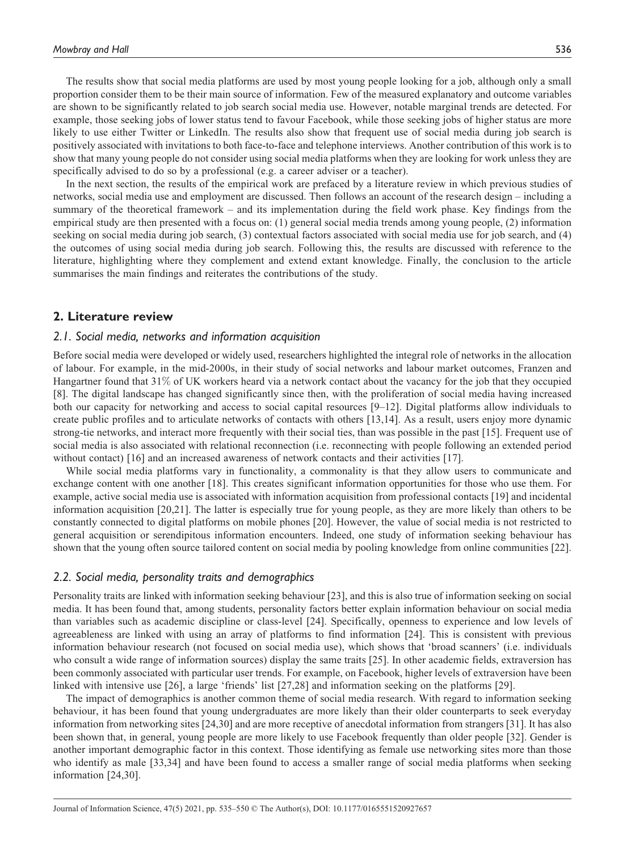The results show that social media platforms are used by most young people looking for a job, although only a small proportion consider them to be their main source of information. Few of the measured explanatory and outcome variables are shown to be significantly related to job search social media use. However, notable marginal trends are detected. For example, those seeking jobs of lower status tend to favour Facebook, while those seeking jobs of higher status are more likely to use either Twitter or LinkedIn. The results also show that frequent use of social media during job search is positively associated with invitations to both face-to-face and telephone interviews. Another contribution of this work is to show that many young people do not consider using social media platforms when they are looking for work unless they are specifically advised to do so by a professional (e.g. a career adviser or a teacher).

In the next section, the results of the empirical work are prefaced by a literature review in which previous studies of networks, social media use and employment are discussed. Then follows an account of the research design – including a summary of the theoretical framework – and its implementation during the field work phase. Key findings from the empirical study are then presented with a focus on: (1) general social media trends among young people, (2) information seeking on social media during job search, (3) contextual factors associated with social media use for job search, and (4) the outcomes of using social media during job search. Following this, the results are discussed with reference to the literature, highlighting where they complement and extend extant knowledge. Finally, the conclusion to the article summarises the main findings and reiterates the contributions of the study.

## 2. Literature review

## 2.1. Social media, networks and information acquisition

Before social media were developed or widely used, researchers highlighted the integral role of networks in the allocation of labour. For example, in the mid-2000s, in their study of social networks and labour market outcomes, Franzen and Hangartner found that 31% of UK workers heard via a network contact about the vacancy for the job that they occupied [8]. The digital landscape has changed significantly since then, with the proliferation of social media having increased both our capacity for networking and access to social capital resources [9–12]. Digital platforms allow individuals to create public profiles and to articulate networks of contacts with others [13,14]. As a result, users enjoy more dynamic strong-tie networks, and interact more frequently with their social ties, than was possible in the past [15]. Frequent use of social media is also associated with relational reconnection (i.e. reconnecting with people following an extended period without contact) [16] and an increased awareness of network contacts and their activities [17].

While social media platforms vary in functionality, a commonality is that they allow users to communicate and exchange content with one another [18]. This creates significant information opportunities for those who use them. For example, active social media use is associated with information acquisition from professional contacts [19] and incidental information acquisition [20,21]. The latter is especially true for young people, as they are more likely than others to be constantly connected to digital platforms on mobile phones [20]. However, the value of social media is not restricted to general acquisition or serendipitous information encounters. Indeed, one study of information seeking behaviour has shown that the young often source tailored content on social media by pooling knowledge from online communities [22].

#### 2.2. Social media, personality traits and demographics

Personality traits are linked with information seeking behaviour [23], and this is also true of information seeking on social media. It has been found that, among students, personality factors better explain information behaviour on social media than variables such as academic discipline or class-level [24]. Specifically, openness to experience and low levels of agreeableness are linked with using an array of platforms to find information [24]. This is consistent with previous information behaviour research (not focused on social media use), which shows that 'broad scanners' (i.e. individuals who consult a wide range of information sources) display the same traits [25]. In other academic fields, extraversion has been commonly associated with particular user trends. For example, on Facebook, higher levels of extraversion have been linked with intensive use [26], a large 'friends' list [27,28] and information seeking on the platforms [29].

The impact of demographics is another common theme of social media research. With regard to information seeking behaviour, it has been found that young undergraduates are more likely than their older counterparts to seek everyday information from networking sites [24,30] and are more receptive of anecdotal information from strangers [31]. It has also been shown that, in general, young people are more likely to use Facebook frequently than older people [32]. Gender is another important demographic factor in this context. Those identifying as female use networking sites more than those who identify as male [33,34] and have been found to access a smaller range of social media platforms when seeking information [24,30].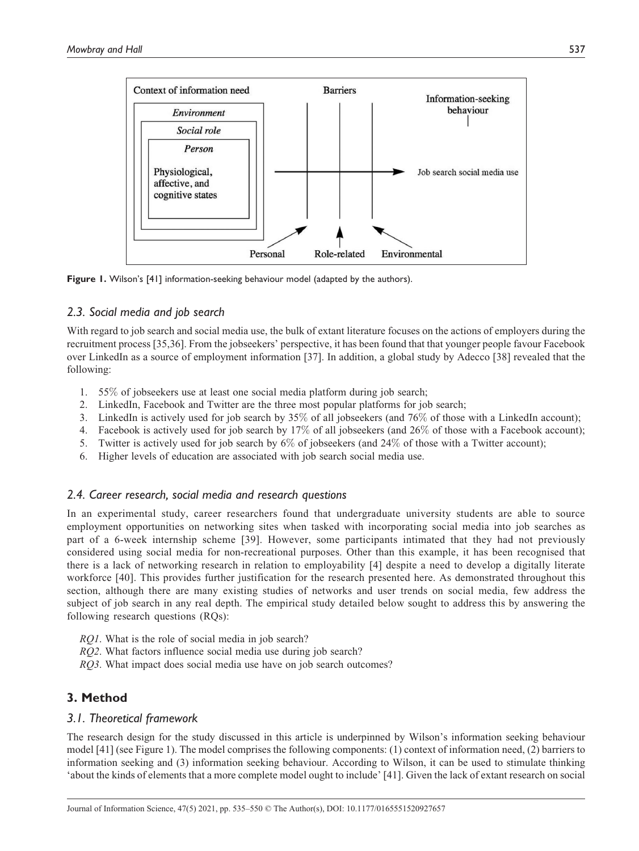

Figure 1. Wilson's [41] information-seeking behaviour model (adapted by the authors).

# 2.3. Social media and job search

With regard to job search and social media use, the bulk of extant literature focuses on the actions of employers during the recruitment process [35,36]. From the jobseekers' perspective, it has been found that that younger people favour Facebook over LinkedIn as a source of employment information [37]. In addition, a global study by Adecco [38] revealed that the following:

- 1. 55% of jobseekers use at least one social media platform during job search;
- 2. LinkedIn, Facebook and Twitter are the three most popular platforms for job search;
- 3. LinkedIn is actively used for job search by  $35\%$  of all jobseekers (and  $76\%$  of those with a LinkedIn account);
- 4. Facebook is actively used for job search by 17% of all jobseekers (and 26% of those with a Facebook account);
- 5. Twitter is actively used for job search by 6% of jobseekers (and 24% of those with a Twitter account);
- 6. Higher levels of education are associated with job search social media use.

# 2.4. Career research, social media and research questions

In an experimental study, career researchers found that undergraduate university students are able to source employment opportunities on networking sites when tasked with incorporating social media into job searches as part of a 6-week internship scheme [39]. However, some participants intimated that they had not previously considered using social media for non-recreational purposes. Other than this example, it has been recognised that there is a lack of networking research in relation to employability [4] despite a need to develop a digitally literate workforce [40]. This provides further justification for the research presented here. As demonstrated throughout this section, although there are many existing studies of networks and user trends on social media, few address the subject of job search in any real depth. The empirical study detailed below sought to address this by answering the following research questions (RQs):

- RQ1. What is the role of social media in job search?
- RQ2. What factors influence social media use during job search?
- RQ3. What impact does social media use have on job search outcomes?

# 3. Method

# 3.1. Theoretical framework

The research design for the study discussed in this article is underpinned by Wilson's information seeking behaviour model [41] (see Figure 1). The model comprises the following components: (1) context of information need, (2) barriers to information seeking and (3) information seeking behaviour. According to Wilson, it can be used to stimulate thinking 'about the kinds of elements that a more complete model ought to include' [41]. Given the lack of extant research on social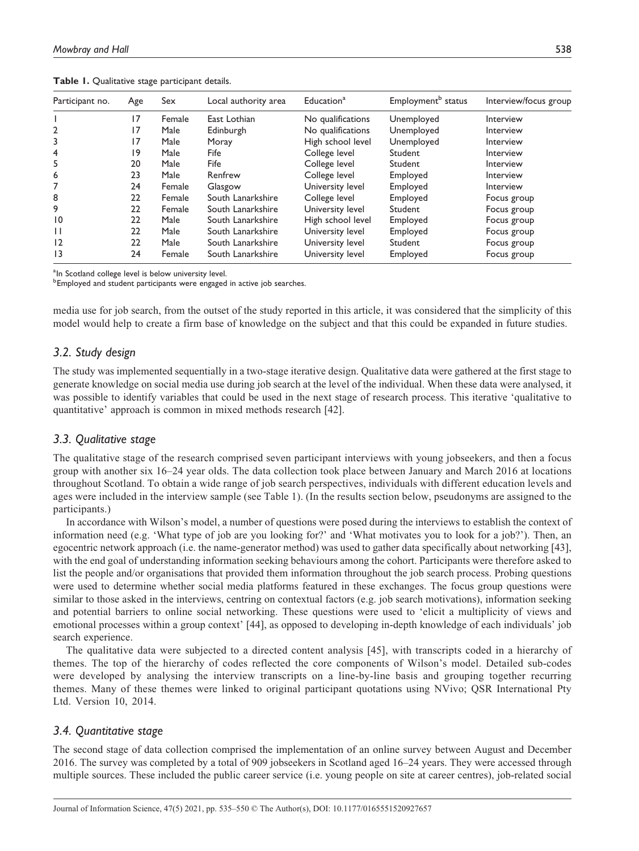| Participant no. | Age | Sex    | Local authority area | Education <sup>a</sup> | Employment <sup>b</sup> status | Interview/focus group |
|-----------------|-----|--------|----------------------|------------------------|--------------------------------|-----------------------|
|                 | 17  | Female | East Lothian         | No qualifications      | Unemployed                     | Interview             |
| 2               | 17  | Male   | Edinburgh            | No qualifications      | Unemployed                     | Interview             |
| 3               | 17  | Male   | Moray                | High school level      | Unemployed                     | Interview             |
| 4               | 19  | Male   | Fife                 | College level          | Student                        | Interview             |
| 5               | 20  | Male   | Fife                 | College level          | Student                        | Interview             |
| 6               | 23  | Male   | Renfrew              | College level          | Employed                       | Interview             |
|                 | 24  | Female | Glasgow              | University level       | Employed                       | Interview             |
| 8               | 22  | Female | South Lanarkshire    | College level          | Employed                       | Focus group           |
| 9               | 22  | Female | South Lanarkshire    | University level       | Student                        | Focus group           |
| $\overline{10}$ | 22  | Male   | South Lanarkshire    | High school level      | Employed                       | Focus group           |
| $\mathbf{H}$    | 22  | Male   | South Lanarkshire    | University level       | Employed                       | Focus group           |
| 12              | 22  | Male   | South Lanarkshire    | University level       | Student                        | Focus group           |
| $\overline{13}$ | 24  | Female | South Lanarkshire    | University level       | Employed                       | Focus group           |

Table 1. Qualitative stage participant details.

<sup>a</sup>In Scotland college level is below university level.

<sup>b</sup>Employed and student participants were engaged in active job searches.

media use for job search, from the outset of the study reported in this article, it was considered that the simplicity of this model would help to create a firm base of knowledge on the subject and that this could be expanded in future studies.

# 3.2. Study design

The study was implemented sequentially in a two-stage iterative design. Qualitative data were gathered at the first stage to generate knowledge on social media use during job search at the level of the individual. When these data were analysed, it was possible to identify variables that could be used in the next stage of research process. This iterative 'qualitative to quantitative' approach is common in mixed methods research [42].

# 3.3. Qualitative stage

The qualitative stage of the research comprised seven participant interviews with young jobseekers, and then a focus group with another six 16–24 year olds. The data collection took place between January and March 2016 at locations throughout Scotland. To obtain a wide range of job search perspectives, individuals with different education levels and ages were included in the interview sample (see Table 1). (In the results section below, pseudonyms are assigned to the participants.)

In accordance with Wilson's model, a number of questions were posed during the interviews to establish the context of information need (e.g. 'What type of job are you looking for?' and 'What motivates you to look for a job?'). Then, an egocentric network approach (i.e. the name-generator method) was used to gather data specifically about networking [43], with the end goal of understanding information seeking behaviours among the cohort. Participants were therefore asked to list the people and/or organisations that provided them information throughout the job search process. Probing questions were used to determine whether social media platforms featured in these exchanges. The focus group questions were similar to those asked in the interviews, centring on contextual factors (e.g. job search motivations), information seeking and potential barriers to online social networking. These questions were used to 'elicit a multiplicity of views and emotional processes within a group context' [44], as opposed to developing in-depth knowledge of each individuals' job search experience.

The qualitative data were subjected to a directed content analysis [45], with transcripts coded in a hierarchy of themes. The top of the hierarchy of codes reflected the core components of Wilson's model. Detailed sub-codes were developed by analysing the interview transcripts on a line-by-line basis and grouping together recurring themes. Many of these themes were linked to original participant quotations using NVivo; QSR International Pty Ltd. Version 10, 2014.

# 3.4. Quantitative stage

The second stage of data collection comprised the implementation of an online survey between August and December 2016. The survey was completed by a total of 909 jobseekers in Scotland aged 16–24 years. They were accessed through multiple sources. These included the public career service (i.e. young people on site at career centres), job-related social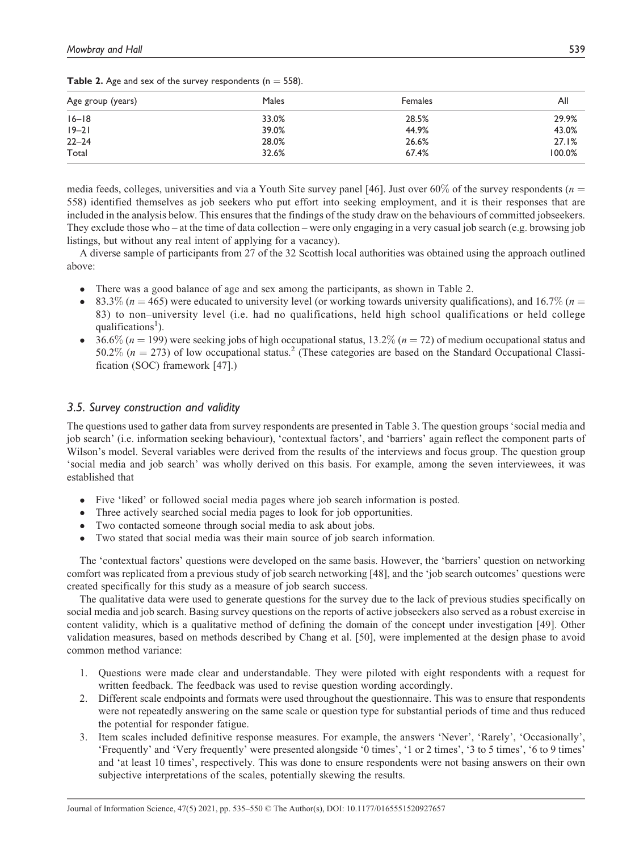| Age group (years) | Males | Females | Αll    |
|-------------------|-------|---------|--------|
| $16 - 18$         | 33.0% | 28.5%   | 29.9%  |
| $19 - 21$         | 39.0% | 44.9%   | 43.0%  |
| $22 - 24$         | 28.0% | 26.6%   | 27.1%  |
| Total             | 32.6% | 67.4%   | 100.0% |

**Table 2.** Age and sex of the survey respondents ( $n = 558$ ).

media feeds, colleges, universities and via a Youth Site survey panel [46]. Just over 60% of the survey respondents ( $n =$ 558) identified themselves as job seekers who put effort into seeking employment, and it is their responses that are included in the analysis below. This ensures that the findings of the study draw on the behaviours of committed jobseekers. They exclude those who – at the time of data collection – were only engaging in a very casual job search (e.g. browsing job listings, but without any real intent of applying for a vacancy).

A diverse sample of participants from 27 of the 32 Scottish local authorities was obtained using the approach outlined above:

- � There was a good balance of age and sex among the participants, as shown in Table 2.
- 83.3% ( $n = 465$ ) were educated to university level (or working towards university qualifications), and 16.7% ( $n =$ 83) to non–university level (i.e. had no qualifications, held high school qualifications or held college qualifications<sup>1</sup>).
- 36.6% ( $n = 199$ ) were seeking jobs of high occupational status, 13.2% ( $n = 72$ ) of medium occupational status and 50.2% ( $n = 273$ ) of low occupational status.<sup>2</sup> (These categories are based on the Standard Occupational Classification (SOC) framework [47].)

# 3.5. Survey construction and validity

The questions used to gather data from survey respondents are presented in Table 3. The question groups 'social media and job search' (i.e. information seeking behaviour), 'contextual factors', and 'barriers' again reflect the component parts of Wilson's model. Several variables were derived from the results of the interviews and focus group. The question group 'social media and job search' was wholly derived on this basis. For example, among the seven interviewees, it was established that

- Five 'liked' or followed social media pages where job search information is posted.<br>• Three actively searched social media pages to look for iob opportunities
- Three actively searched social media pages to look for job opportunities.
- � Two contacted someone through social media to ask about jobs.
- � Two stated that social media was their main source of job search information.

The 'contextual factors' questions were developed on the same basis. However, the 'barriers' question on networking comfort was replicated from a previous study of job search networking [48], and the 'job search outcomes' questions were created specifically for this study as a measure of job search success.

The qualitative data were used to generate questions for the survey due to the lack of previous studies specifically on social media and job search. Basing survey questions on the reports of active jobseekers also served as a robust exercise in content validity, which is a qualitative method of defining the domain of the concept under investigation [49]. Other validation measures, based on methods described by Chang et al. [50], were implemented at the design phase to avoid common method variance:

- 1. Questions were made clear and understandable. They were piloted with eight respondents with a request for written feedback. The feedback was used to revise question wording accordingly.
- 2. Different scale endpoints and formats were used throughout the questionnaire. This was to ensure that respondents were not repeatedly answering on the same scale or question type for substantial periods of time and thus reduced the potential for responder fatigue.
- 3. Item scales included definitive response measures. For example, the answers 'Never', 'Rarely', 'Occasionally', 'Frequently' and 'Very frequently' were presented alongside '0 times', '1 or 2 times', '3 to 5 times', '6 to 9 times' and 'at least 10 times', respectively. This was done to ensure respondents were not basing answers on their own subjective interpretations of the scales, potentially skewing the results.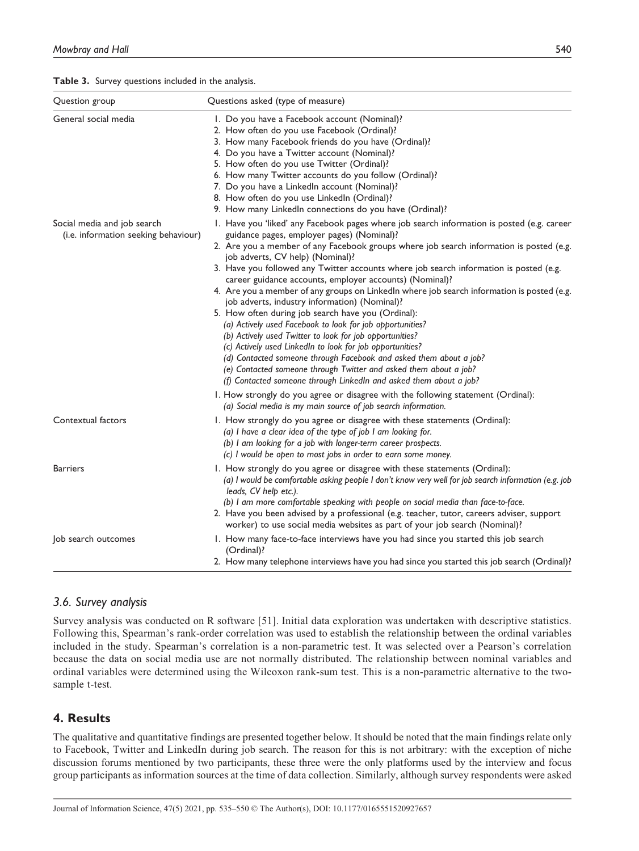#### Table 3. Survey questions included in the analysis.

| Question group                                                      | Questions asked (type of measure)                                                                                                                                                                                                                                                                                                                                                                                                                                                                                                                                                                                                                                                                                                                                                                                                                                                                                                                                                                                                                                                                                            |
|---------------------------------------------------------------------|------------------------------------------------------------------------------------------------------------------------------------------------------------------------------------------------------------------------------------------------------------------------------------------------------------------------------------------------------------------------------------------------------------------------------------------------------------------------------------------------------------------------------------------------------------------------------------------------------------------------------------------------------------------------------------------------------------------------------------------------------------------------------------------------------------------------------------------------------------------------------------------------------------------------------------------------------------------------------------------------------------------------------------------------------------------------------------------------------------------------------|
| General social media                                                | I. Do you have a Facebook account (Nominal)?<br>2. How often do you use Facebook (Ordinal)?<br>3. How many Facebook friends do you have (Ordinal)?<br>4. Do you have a Twitter account (Nominal)?<br>5. How often do you use Twitter (Ordinal)?<br>6. How many Twitter accounts do you follow (Ordinal)?<br>7. Do you have a LinkedIn account (Nominal)?<br>8. How often do you use LinkedIn (Ordinal)?<br>9. How many LinkedIn connections do you have (Ordinal)?                                                                                                                                                                                                                                                                                                                                                                                                                                                                                                                                                                                                                                                           |
| Social media and job search<br>(i.e. information seeking behaviour) | 1. Have you 'liked' any Facebook pages where job search information is posted (e.g. career<br>guidance pages, employer pages) (Nominal)?<br>2. Are you a member of any Facebook groups where job search information is posted (e.g.<br>job adverts, CV help) (Nominal)?<br>3. Have you followed any Twitter accounts where job search information is posted (e.g.<br>career guidance accounts, employer accounts) (Nominal)?<br>4. Are you a member of any groups on LinkedIn where job search information is posted (e.g.<br>job adverts, industry information) (Nominal)?<br>5. How often during job search have you (Ordinal):<br>(a) Actively used Facebook to look for job opportunities?<br>(b) Actively used Twitter to look for job opportunities?<br>(c) Actively used LinkedIn to look for job opportunities?<br>(d) Contacted someone through Facebook and asked them about a job?<br>(e) Contacted someone through Twitter and asked them about a job?<br>(f) Contacted someone through LinkedIn and asked them about a job?<br>I. How strongly do you agree or disagree with the following statement (Ordinal): |
| Contextual factors                                                  | (a) Social media is my main source of job search information.<br>1. How strongly do you agree or disagree with these statements (Ordinal):<br>(a) I have a clear idea of the type of job I am looking for.<br>(b) I am looking for a job with longer-term career prospects.<br>(c) I would be open to most jobs in order to earn some money.                                                                                                                                                                                                                                                                                                                                                                                                                                                                                                                                                                                                                                                                                                                                                                                 |
| <b>Barriers</b>                                                     | 1. How strongly do you agree or disagree with these statements (Ordinal):<br>(a) I would be comfortable asking people I don't know very well for job search information (e.g. job<br>leads, CV help etc.).<br>(b) I am more comfortable speaking with people on social media than face-to-face.<br>2. Have you been advised by a professional (e.g. teacher, tutor, careers adviser, support<br>worker) to use social media websites as part of your job search (Nominal)?                                                                                                                                                                                                                                                                                                                                                                                                                                                                                                                                                                                                                                                   |
| Job search outcomes                                                 | 1. How many face-to-face interviews have you had since you started this job search<br>(Ordinal)?<br>2. How many telephone interviews have you had since you started this job search (Ordinal)?                                                                                                                                                                                                                                                                                                                                                                                                                                                                                                                                                                                                                                                                                                                                                                                                                                                                                                                               |

## 3.6. Survey analysis

Survey analysis was conducted on R software [51]. Initial data exploration was undertaken with descriptive statistics. Following this, Spearman's rank-order correlation was used to establish the relationship between the ordinal variables included in the study. Spearman's correlation is a non-parametric test. It was selected over a Pearson's correlation because the data on social media use are not normally distributed. The relationship between nominal variables and ordinal variables were determined using the Wilcoxon rank-sum test. This is a non-parametric alternative to the twosample t-test.

# 4. Results

The qualitative and quantitative findings are presented together below. It should be noted that the main findings relate only to Facebook, Twitter and LinkedIn during job search. The reason for this is not arbitrary: with the exception of niche discussion forums mentioned by two participants, these three were the only platforms used by the interview and focus group participants as information sources at the time of data collection. Similarly, although survey respondents were asked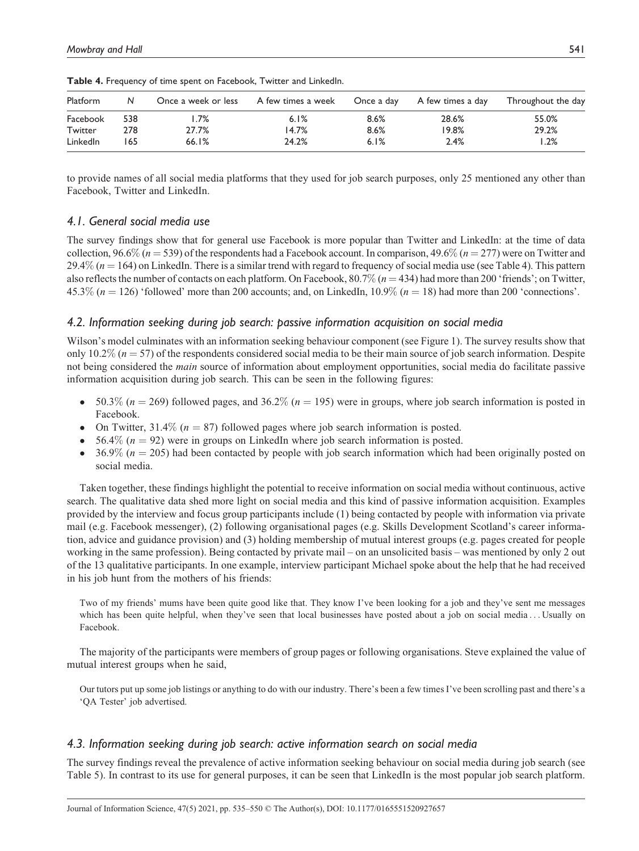| Platform |     | Once a week or less | A few times a week | Once a day | A few times a day | Throughout the day |
|----------|-----|---------------------|--------------------|------------|-------------------|--------------------|
| Facebook | 538 | $.7\%$              | 6.1%               | 8.6%       | 28.6%             | 55.0%              |
| Twitter  | 278 | 27.7%               | 14.7%              | 8.6%       | 19.8%             | 29.2%              |
| LinkedIn | 65  | 66.1%               | 24.2%              | 6.1%       | 2.4%              | .2%                |

Table 4. Frequency of time spent on Facebook, Twitter and LinkedIn.

to provide names of all social media platforms that they used for job search purposes, only 25 mentioned any other than Facebook, Twitter and LinkedIn.

## 4.1. General social media use

The survey findings show that for general use Facebook is more popular than Twitter and LinkedIn: at the time of data collection, 96.6% ( $n = 539$ ) of the respondents had a Facebook account. In comparison, 49.6% ( $n = 277$ ) were on Twitter and 29.4% ( $n = 164$ ) on LinkedIn. There is a similar trend with regard to frequency of social media use (see Table 4). This pattern also reflects the number of contacts on each platform. On Facebook,  $80.7\%$  ( $n = 434$ ) had more than 200 'friends'; on Twitter,  $45.3\%$  (n = 126) 'followed' more than 200 accounts; and, on LinkedIn,  $10.9\%$  (n = 18) had more than 200 'connections'.

## 4.2. Information seeking during job search: passive information acquisition on social media

Wilson's model culminates with an information seeking behaviour component (see Figure 1). The survey results show that only 10.2% ( $n = 57$ ) of the respondents considered social media to be their main source of job search information. Despite not being considered the *main* source of information about employment opportunities, social media do facilitate passive information acquisition during job search. This can be seen in the following figures:

- $\bullet$  50.3% (n = 269) followed pages, and 36.2% (n = 195) were in groups, where job search information is posted in Facebook.
- On Twitter,  $31.4\%$  ( $n = 87$ ) followed pages where job search information is posted.
- $\bullet$  56.4% ( $n = 92$ ) were in groups on LinkedIn where job search information is posted.
- $\bullet$  36.9% ( $n = 205$ ) had been contacted by people with job search information which had been originally posted on social media.

Taken together, these findings highlight the potential to receive information on social media without continuous, active search. The qualitative data shed more light on social media and this kind of passive information acquisition. Examples provided by the interview and focus group participants include (1) being contacted by people with information via private mail (e.g. Facebook messenger), (2) following organisational pages (e.g. Skills Development Scotland's career information, advice and guidance provision) and (3) holding membership of mutual interest groups (e.g. pages created for people working in the same profession). Being contacted by private mail – on an unsolicited basis – was mentioned by only 2 out of the 13 qualitative participants. In one example, interview participant Michael spoke about the help that he had received in his job hunt from the mothers of his friends:

Two of my friends' mums have been quite good like that. They know I've been looking for a job and they've sent me messages which has been quite helpful, when they've seen that local businesses have posted about a job on social media...Usually on Facebook.

The majority of the participants were members of group pages or following organisations. Steve explained the value of mutual interest groups when he said,

Our tutors put up some job listings or anything to do with our industry. There's been a few times I've been scrolling past and there's a 'QA Tester' job advertised.

## 4.3. Information seeking during job search: active information search on social media

The survey findings reveal the prevalence of active information seeking behaviour on social media during job search (see Table 5). In contrast to its use for general purposes, it can be seen that LinkedIn is the most popular job search platform.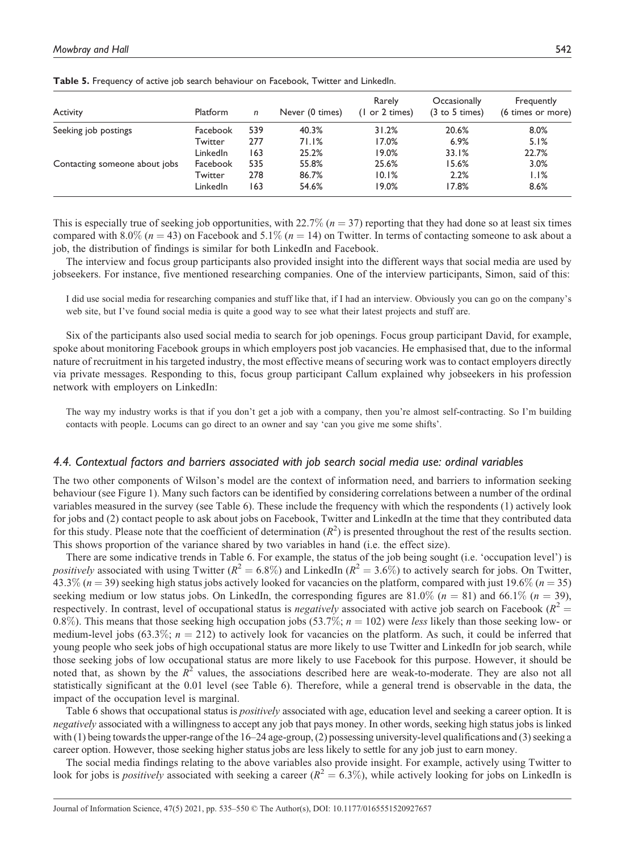| <b>Activity</b>               | Platform | n   | Never (0 times) | Rarely<br>(1 or 2 times) | Occasionally<br>$(3 \text{ to } 5 \text{ times})$ | Frequently<br>(6 times or more) |
|-------------------------------|----------|-----|-----------------|--------------------------|---------------------------------------------------|---------------------------------|
| Seeking job postings          | Facebook | 539 | 40.3%           | 31.2%                    | 20.6%                                             | 8.0%                            |
|                               | Twitter  | 277 | 71.1%           | 17.0%                    | 6.9%                                              | 5.1%                            |
|                               | LinkedIn | 163 | 25.2%           | 19.0%                    | 33.1%                                             | 22.7%                           |
| Contacting someone about jobs | Facebook | 535 | 55.8%           | 25.6%                    | 15.6%                                             | 3.0%                            |
|                               | Twitter  | 278 | 86.7%           | 10.1%                    | 2.2%                                              | 1.1%                            |
|                               | LinkedIn | 163 | 54.6%           | 19.0%                    | 17.8%                                             | 8.6%                            |

Table 5. Frequency of active job search behaviour on Facebook, Twitter and LinkedIn.

This is especially true of seeking job opportunities, with 22.7% ( $n = 37$ ) reporting that they had done so at least six times compared with 8.0% ( $n = 43$ ) on Facebook and 5.1% ( $n = 14$ ) on Twitter. In terms of contacting someone to ask about a job, the distribution of findings is similar for both LinkedIn and Facebook.

The interview and focus group participants also provided insight into the different ways that social media are used by jobseekers. For instance, five mentioned researching companies. One of the interview participants, Simon, said of this:

I did use social media for researching companies and stuff like that, if I had an interview. Obviously you can go on the company's web site, but I've found social media is quite a good way to see what their latest projects and stuff are.

Six of the participants also used social media to search for job openings. Focus group participant David, for example, spoke about monitoring Facebook groups in which employers post job vacancies. He emphasised that, due to the informal nature of recruitment in his targeted industry, the most effective means of securing work was to contact employers directly via private messages. Responding to this, focus group participant Callum explained why jobseekers in his profession network with employers on LinkedIn:

The way my industry works is that if you don't get a job with a company, then you're almost self-contracting. So I'm building contacts with people. Locums can go direct to an owner and say 'can you give me some shifts'.

#### 4.4. Contextual factors and barriers associated with job search social media use: ordinal variables

The two other components of Wilson's model are the context of information need, and barriers to information seeking behaviour (see Figure 1). Many such factors can be identified by considering correlations between a number of the ordinal variables measured in the survey (see Table 6). These include the frequency with which the respondents (1) actively look for jobs and (2) contact people to ask about jobs on Facebook, Twitter and LinkedIn at the time that they contributed data for this study. Please note that the coefficient of determination  $(R^2)$  is presented throughout the rest of the results section. This shows proportion of the variance shared by two variables in hand (i.e. the effect size).

There are some indicative trends in Table 6. For example, the status of the job being sought (i.e. 'occupation level') is *positively* associated with using Twitter ( $R^2 = 6.8\%$ ) and LinkedIn ( $R^2 = 3.6\%$ ) to actively search for jobs. On Twitter,  $43.3\%$  (n = 39) seeking high status jobs actively looked for vacancies on the platform, compared with just 19.6% (n = 35) seeking medium or low status jobs. On LinkedIn, the corresponding figures are 81.0% ( $n = 81$ ) and 66.1% ( $n = 39$ ), respectively. In contrast, level of occupational status is *negatively* associated with active job search on Facebook ( $R^2$  = 0.8%). This means that those seeking high occupation jobs (53.7%;  $n = 102$ ) were less likely than those seeking low- or medium-level jobs (63.3%;  $n = 212$ ) to actively look for vacancies on the platform. As such, it could be inferred that young people who seek jobs of high occupational status are more likely to use Twitter and LinkedIn for job search, while those seeking jobs of low occupational status are more likely to use Facebook for this purpose. However, it should be noted that, as shown by the  $R^2$  values, the associations described here are weak-to-moderate. They are also not all statistically significant at the 0.01 level (see Table 6). Therefore, while a general trend is observable in the data, the impact of the occupation level is marginal.

Table 6 shows that occupational status is *positively* associated with age, education level and seeking a career option. It is negatively associated with a willingness to accept any job that pays money. In other words, seeking high status jobs is linked with (1) being towards the upper-range of the 16–24 age-group, (2) possessing university-level qualifications and (3) seeking a career option. However, those seeking higher status jobs are less likely to settle for any job just to earn money.

The social media findings relating to the above variables also provide insight. For example, actively using Twitter to look for jobs is *positively* associated with seeking a career ( $R^2 = 6.3\%$ ), while actively looking for jobs on LinkedIn is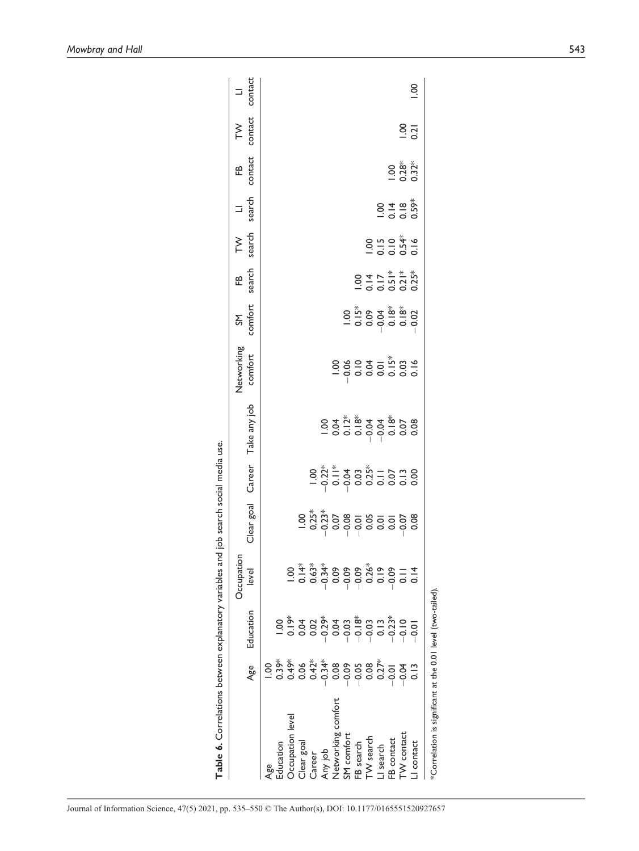|                                                            | Age           | Education | Occupation<br>level                                                            | Clear goal                                                                                                                                                                                                                                                                                                                                      | Career                                                                                                                                                                                                                                                                                                                                                                                                                                            | Take any job | Networking<br>comfort | SM<br>comfort                                                                                                                                                                                                                                    | FB<br>search                                                        | TW<br>search                                 | search<br>$\equiv$ | contact<br>Æ            | contact<br>$\geq$ | contact<br>$\equiv$ |
|------------------------------------------------------------|---------------|-----------|--------------------------------------------------------------------------------|-------------------------------------------------------------------------------------------------------------------------------------------------------------------------------------------------------------------------------------------------------------------------------------------------------------------------------------------------|---------------------------------------------------------------------------------------------------------------------------------------------------------------------------------------------------------------------------------------------------------------------------------------------------------------------------------------------------------------------------------------------------------------------------------------------------|--------------|-----------------------|--------------------------------------------------------------------------------------------------------------------------------------------------------------------------------------------------------------------------------------------------|---------------------------------------------------------------------|----------------------------------------------|--------------------|-------------------------|-------------------|---------------------|
| ducation<br>ag<br>P                                        | $\frac{8}{1}$ |           |                                                                                |                                                                                                                                                                                                                                                                                                                                                 |                                                                                                                                                                                                                                                                                                                                                                                                                                                   |              |                       |                                                                                                                                                                                                                                                  |                                                                     |                                              |                    |                         |                   |                     |
| <b>Decupation</b> level                                    |               |           |                                                                                |                                                                                                                                                                                                                                                                                                                                                 |                                                                                                                                                                                                                                                                                                                                                                                                                                                   |              |                       |                                                                                                                                                                                                                                                  |                                                                     |                                              |                    |                         |                   |                     |
| Clear goal                                                 |               |           | 8 <del>*</del> * * * 8 8 8 * 8 8 8<br>- 8 9 8 8 8 7 8 9 8<br>- 8 9 9 9 9 8 8 9 |                                                                                                                                                                                                                                                                                                                                                 |                                                                                                                                                                                                                                                                                                                                                                                                                                                   |              |                       |                                                                                                                                                                                                                                                  |                                                                     |                                              |                    |                         |                   |                     |
| Career                                                     |               |           |                                                                                |                                                                                                                                                                                                                                                                                                                                                 |                                                                                                                                                                                                                                                                                                                                                                                                                                                   |              |                       |                                                                                                                                                                                                                                                  |                                                                     |                                              |                    |                         |                   |                     |
| Any job                                                    |               |           |                                                                                | $\begin{array}{l} 8.75 \\ 8.75 \\ -0.87 \\ -0.87 \\ -0.87 \\ -0.87 \\ -0.87 \\ -0.87 \\ -0.87 \\ -0.87 \\ -0.87 \\ -0.87 \\ -0.87 \\ -0.87 \\ -0.87 \\ -0.87 \\ -0.87 \\ -0.87 \\ -0.87 \\ -0.87 \\ -0.87 \\ -0.87 \\ -0.87 \\ -0.87 \\ -0.87 \\ -0.87 \\ -0.87 \\ -0.87 \\ -0.87 \\ -0.87 \\ -0.87 \\ -0.87 \\ -0.87 \\ -0.87 \\ -0.87 \\ -0.$ | $8.8\overset{*}{\phantom{1}\phantom{1}}\phantom{1}8.8\overset{*}{\phantom{1}\phantom{1}}\phantom{1}8.8\overset{*}{\phantom{1}\phantom{1}}\phantom{1}8.8\overset{*}{\phantom{1}\phantom{1}}\phantom{1}8.8\overset{*}{\phantom{1}\phantom{1}}\phantom{1}8.8\overset{*}{\phantom{1}\phantom{1}}\phantom{1}8.8\overset{*}{\phantom{1}\phantom{1}}\phantom{1}8.8\overset{*}{\phantom{1}\phantom{1}}\phantom{1}8.8\overset{*}{\phantom{1}\phantom{1}}\$ |              |                       |                                                                                                                                                                                                                                                  |                                                                     |                                              |                    |                         |                   |                     |
| <b>Networking</b> comfort                                  |               |           |                                                                                |                                                                                                                                                                                                                                                                                                                                                 |                                                                                                                                                                                                                                                                                                                                                                                                                                                   |              |                       |                                                                                                                                                                                                                                                  |                                                                     |                                              |                    |                         |                   |                     |
| SM comfort                                                 |               |           |                                                                                |                                                                                                                                                                                                                                                                                                                                                 |                                                                                                                                                                                                                                                                                                                                                                                                                                                   |              |                       |                                                                                                                                                                                                                                                  |                                                                     |                                              |                    |                         |                   |                     |
| -B search                                                  |               |           |                                                                                |                                                                                                                                                                                                                                                                                                                                                 |                                                                                                                                                                                                                                                                                                                                                                                                                                                   |              |                       |                                                                                                                                                                                                                                                  |                                                                     |                                              |                    |                         |                   |                     |
| TW search                                                  |               |           |                                                                                |                                                                                                                                                                                                                                                                                                                                                 |                                                                                                                                                                                                                                                                                                                                                                                                                                                   |              |                       |                                                                                                                                                                                                                                                  |                                                                     |                                              |                    |                         |                   |                     |
| I search                                                   |               |           |                                                                                |                                                                                                                                                                                                                                                                                                                                                 |                                                                                                                                                                                                                                                                                                                                                                                                                                                   |              |                       |                                                                                                                                                                                                                                                  |                                                                     |                                              |                    |                         |                   |                     |
| -B contact                                                 |               |           |                                                                                |                                                                                                                                                                                                                                                                                                                                                 |                                                                                                                                                                                                                                                                                                                                                                                                                                                   |              |                       | 0<br>0 in 8 <del>x</del> in in 8<br>0 in 8 x in in 10<br>0 in 10 in 10 in 10 in 10 in 10 in 10 in 10 in 10 in 10 in 10 in 10 in 10 in 10 in 10 in 10 in 10 in 10 in 10 in 10 in 10 in 10 in 10 in 10 in 10 in 10 in 10 in 10 in 10 in 10 in 10 i | 00 1 1 <sup>*</sup><br>0 1 1 <sup>*</sup><br>0 0 0 0 0<br>0 0 0 0 0 | 8 5 0 <del>4</del><br>6 5 6 7 9<br>6 8 8 9 8 |                    |                         |                   |                     |
| <b>TW</b> contact                                          |               |           | $\frac{1}{0.14}$                                                               |                                                                                                                                                                                                                                                                                                                                                 |                                                                                                                                                                                                                                                                                                                                                                                                                                                   |              |                       |                                                                                                                                                                                                                                                  |                                                                     |                                              |                    | $\frac{8}{28}$<br>0.333 |                   |                     |
| I contact                                                  |               |           |                                                                                |                                                                                                                                                                                                                                                                                                                                                 |                                                                                                                                                                                                                                                                                                                                                                                                                                                   |              |                       |                                                                                                                                                                                                                                                  |                                                                     |                                              |                    |                         | $\frac{8}{21}$    | $\frac{8}{10}$      |
| *Correlation is significant at the 0.01 level (two-tailed) |               |           |                                                                                |                                                                                                                                                                                                                                                                                                                                                 |                                                                                                                                                                                                                                                                                                                                                                                                                                                   |              |                       |                                                                                                                                                                                                                                                  |                                                                     |                                              |                    |                         |                   |                     |

Table 6. Correlations between explanatory variables and job search social media use.

Table 6. Correlations between explanatory variables and job search social media use.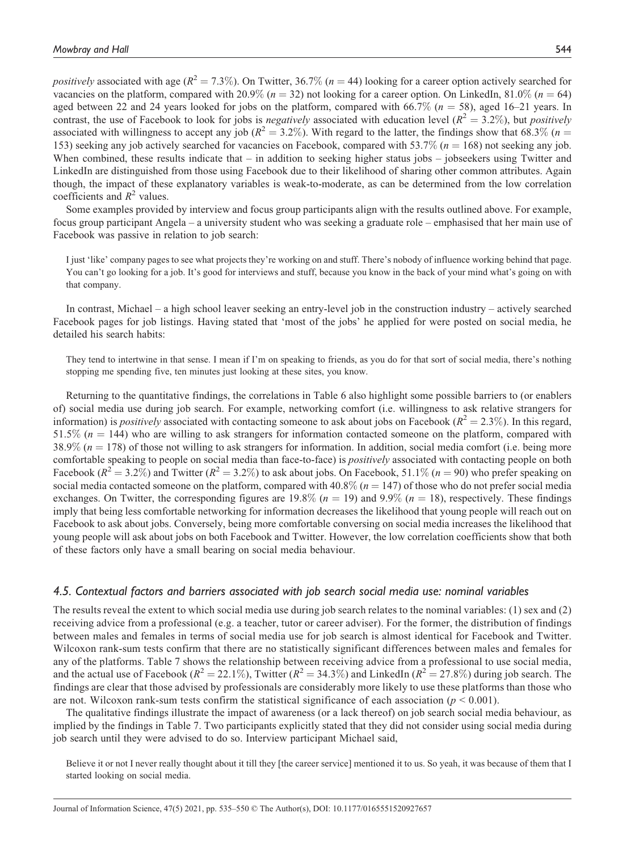positively associated with age ( $R^2 = 7.3\%$ ). On Twitter, 36.7% ( $n = 44$ ) looking for a career option actively searched for vacancies on the platform, compared with 20.9% ( $n = 32$ ) not looking for a career option. On LinkedIn, 81.0% ( $n = 64$ ) aged between 22 and 24 years looked for jobs on the platform, compared with 66.7% ( $n = 58$ ), aged 16–21 years. In contrast, the use of Facebook to look for jobs is *negatively* associated with education level ( $R^2 = 3.2\%$ ), but *positively* associated with willingness to accept any job ( $R^2 = 3.2\%$ ). With regard to the latter, the findings show that 68.3% ( $n =$ 153) seeking any job actively searched for vacancies on Facebook, compared with  $53.7\%$  ( $n = 168$ ) not seeking any job. When combined, these results indicate that – in addition to seeking higher status jobs – jobseekers using Twitter and LinkedIn are distinguished from those using Facebook due to their likelihood of sharing other common attributes. Again though, the impact of these explanatory variables is weak-to-moderate, as can be determined from the low correlation coefficients and  $R^2$  values.

Some examples provided by interview and focus group participants align with the results outlined above. For example, focus group participant Angela – a university student who was seeking a graduate role – emphasised that her main use of Facebook was passive in relation to job search:

I just 'like' company pages to see what projects they're working on and stuff. There's nobody of influence working behind that page. You can't go looking for a job. It's good for interviews and stuff, because you know in the back of your mind what's going on with that company.

In contrast, Michael – a high school leaver seeking an entry-level job in the construction industry – actively searched Facebook pages for job listings. Having stated that 'most of the jobs' he applied for were posted on social media, he detailed his search habits:

They tend to intertwine in that sense. I mean if I'm on speaking to friends, as you do for that sort of social media, there's nothing stopping me spending five, ten minutes just looking at these sites, you know.

Returning to the quantitative findings, the correlations in Table 6 also highlight some possible barriers to (or enablers of) social media use during job search. For example, networking comfort (i.e. willingness to ask relative strangers for information) is *positively* associated with contacting someone to ask about jobs on Facebook ( $R^2 = 2.3\%$ ). In this regard, 51.5% ( $n = 144$ ) who are willing to ask strangers for information contacted someone on the platform, compared with  $38.9\%$  ( $n = 178$ ) of those not willing to ask strangers for information. In addition, social media comfort (i.e. being more comfortable speaking to people on social media than face-to-face) is *positively* associated with contacting people on both Facebook ( $R^2 = 3.2\%$ ) and Twitter ( $R^2 = 3.2\%$ ) to ask about jobs. On Facebook, 51.1% ( $n = 90$ ) who prefer speaking on social media contacted someone on the platform, compared with  $40.8\%$  ( $n = 147$ ) of those who do not prefer social media exchanges. On Twitter, the corresponding figures are  $19.8\%$  ( $n = 19$ ) and  $9.9\%$  ( $n = 18$ ), respectively. These findings imply that being less comfortable networking for information decreases the likelihood that young people will reach out on Facebook to ask about jobs. Conversely, being more comfortable conversing on social media increases the likelihood that young people will ask about jobs on both Facebook and Twitter. However, the low correlation coefficients show that both of these factors only have a small bearing on social media behaviour.

## 4.5. Contextual factors and barriers associated with job search social media use: nominal variables

The results reveal the extent to which social media use during job search relates to the nominal variables: (1) sex and (2) receiving advice from a professional (e.g. a teacher, tutor or career adviser). For the former, the distribution of findings between males and females in terms of social media use for job search is almost identical for Facebook and Twitter. Wilcoxon rank-sum tests confirm that there are no statistically significant differences between males and females for any of the platforms. Table 7 shows the relationship between receiving advice from a professional to use social media, and the actual use of Facebook ( $R^2 = 22.1\%$ ), Twitter ( $R^2 = 34.3\%$ ) and LinkedIn ( $R^2 = 27.8\%$ ) during job search. The findings are clear that those advised by professionals are considerably more likely to use these platforms than those who are not. Wilcoxon rank-sum tests confirm the statistical significance of each association ( $p < 0.001$ ).

The qualitative findings illustrate the impact of awareness (or a lack thereof) on job search social media behaviour, as implied by the findings in Table 7. Two participants explicitly stated that they did not consider using social media during job search until they were advised to do so. Interview participant Michael said,

Believe it or not I never really thought about it till they [the career service] mentioned it to us. So yeah, it was because of them that I started looking on social media.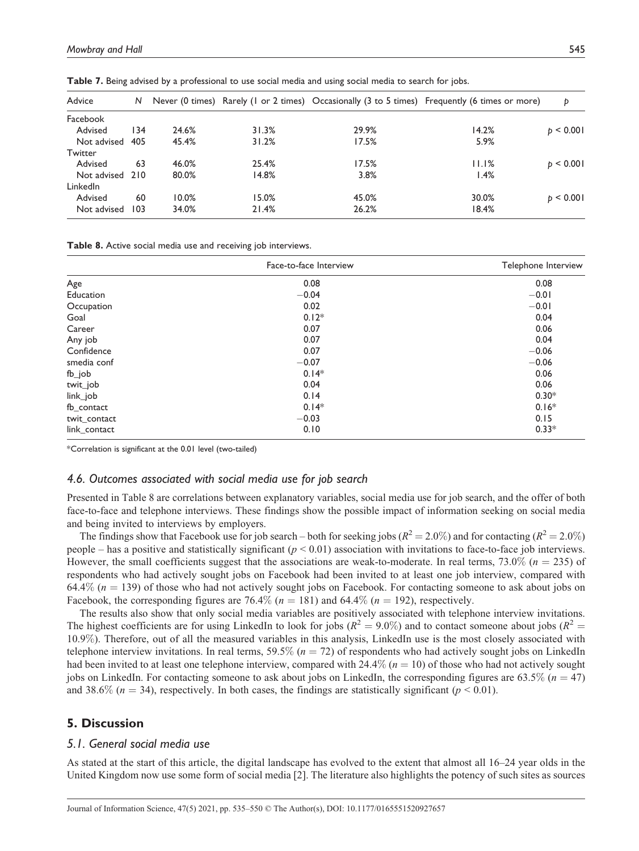| Advice          | N   |       |       |       | Never (0 times) Rarely (1 or 2 times) Occasionally (3 to 5 times) Frequently (6 times or more) | Þ             |
|-----------------|-----|-------|-------|-------|------------------------------------------------------------------------------------------------|---------------|
| Facebook        |     |       |       |       |                                                                                                |               |
| Advised         | 134 | 24.6% | 31.3% | 29.9% | 14.2%                                                                                          | $b \le 0.001$ |
| Not advised     | 405 | 45.4% | 31.2% | 17.5% | 5.9%                                                                                           |               |
| Twitter         |     |       |       |       |                                                                                                |               |
| Advised         | 63  | 46.0% | 25.4% | 17.5% | 11.1%                                                                                          | $b \le 0.001$ |
| Not advised 210 |     | 80.0% | 14.8% | 3.8%  | 1.4%                                                                                           |               |
| <b>LinkedIn</b> |     |       |       |       |                                                                                                |               |
| Advised         | 60  | 10.0% | 15.0% | 45.0% | 30.0%                                                                                          | $b \le 0.001$ |
| Not advised     | 103 | 34.0% | 21.4% | 26.2% | 18.4%                                                                                          |               |

Table 7. Being advised by a professional to use social media and using social media to search for jobs.

Table 8. Active social media use and receiving job interviews.

|              | Face-to-face Interview | Telephone Interview |
|--------------|------------------------|---------------------|
| Age          | 0.08                   | 0.08                |
| Education    | $-0.04$                | $-0.01$             |
| Occupation   | 0.02                   | $-0.01$             |
| Goal         | $0.12*$                | 0.04                |
| Career       | 0.07                   | 0.06                |
| Any job      | 0.07                   | 0.04                |
| Confidence   | 0.07                   | $-0.06$             |
| smedia conf  | $-0.07$                | $-0.06$             |
| fb_job       | $0.14*$                | 0.06                |
| twit_job     | 0.04                   | 0.06                |
| link_job     | 0.14                   | $0.30*$             |
| fb_contact   | $0.14*$                | $0.16*$             |
| twit_contact | $-0.03$                | 0.15                |
| link_contact | 0.10                   | $0.33*$             |

\*Correlation is significant at the 0.01 level (two-tailed)

#### 4.6. Outcomes associated with social media use for job search

Presented in Table 8 are correlations between explanatory variables, social media use for job search, and the offer of both face-to-face and telephone interviews. These findings show the possible impact of information seeking on social media and being invited to interviews by employers.

The findings show that Facebook use for job search – both for seeking jobs ( $R^2 = 2.0\%$ ) and for contacting ( $R^2 = 2.0\%$ ) people – has a positive and statistically significant ( $p < 0.01$ ) association with invitations to face-to-face job interviews. However, the small coefficients suggest that the associations are weak-to-moderate. In real terms, 73.0% ( $n = 235$ ) of respondents who had actively sought jobs on Facebook had been invited to at least one job interview, compared with 64.4% ( $n = 139$ ) of those who had not actively sought jobs on Facebook. For contacting someone to ask about jobs on Facebook, the corresponding figures are 76.4% ( $n = 181$ ) and 64.4% ( $n = 192$ ), respectively.

The results also show that only social media variables are positively associated with telephone interview invitations. The highest coefficients are for using LinkedIn to look for jobs ( $R^2 = 9.0\%$ ) and to contact someone about jobs ( $R^2 =$ 10.9%). Therefore, out of all the measured variables in this analysis, LinkedIn use is the most closely associated with telephone interview invitations. In real terms, 59.5% ( $n = 72$ ) of respondents who had actively sought jobs on LinkedIn had been invited to at least one telephone interview, compared with  $24.4\%$  ( $n = 10$ ) of those who had not actively sought jobs on LinkedIn. For contacting someone to ask about jobs on LinkedIn, the corresponding figures are 63.5% ( $n = 47$ ) and 38.6% ( $n = 34$ ), respectively. In both cases, the findings are statistically significant ( $p < 0.01$ ).

# 5. Discussion

## 5.1. General social media use

As stated at the start of this article, the digital landscape has evolved to the extent that almost all 16–24 year olds in the United Kingdom now use some form of social media [2]. The literature also highlights the potency of such sites as sources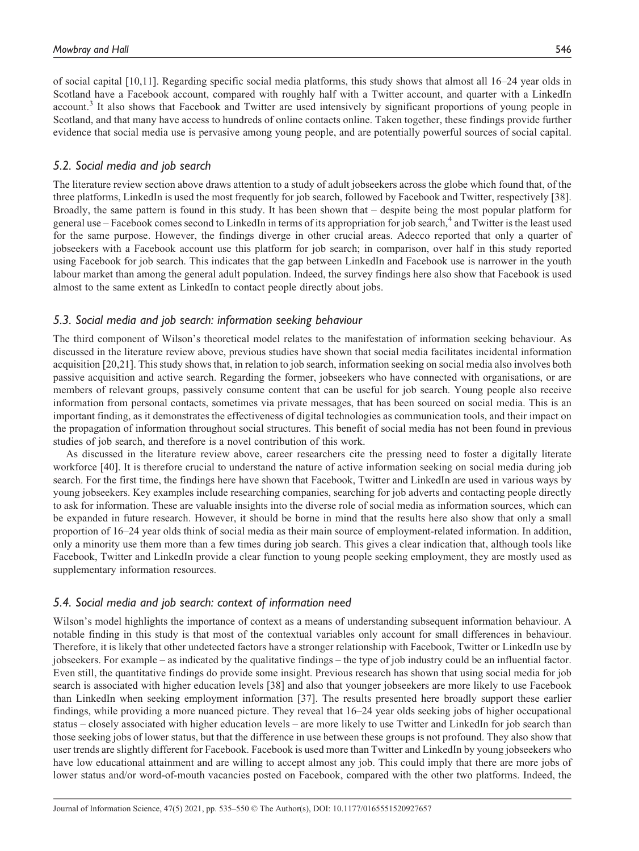of social capital [10,11]. Regarding specific social media platforms, this study shows that almost all 16–24 year olds in Scotland have a Facebook account, compared with roughly half with a Twitter account, and quarter with a LinkedIn account.<sup>3</sup> It also shows that Facebook and Twitter are used intensively by significant proportions of young people in Scotland, and that many have access to hundreds of online contacts online. Taken together, these findings provide further evidence that social media use is pervasive among young people, and are potentially powerful sources of social capital.

## 5.2. Social media and job search

The literature review section above draws attention to a study of adult jobseekers across the globe which found that, of the three platforms, LinkedIn is used the most frequently for job search, followed by Facebook and Twitter, respectively [38]. Broadly, the same pattern is found in this study. It has been shown that – despite being the most popular platform for general use – Facebook comes second to LinkedIn in terms of its appropriation for job search,<sup>4</sup> and Twitter is the least used for the same purpose. However, the findings diverge in other crucial areas. Adecco reported that only a quarter of jobseekers with a Facebook account use this platform for job search; in comparison, over half in this study reported using Facebook for job search. This indicates that the gap between LinkedIn and Facebook use is narrower in the youth labour market than among the general adult population. Indeed, the survey findings here also show that Facebook is used almost to the same extent as LinkedIn to contact people directly about jobs.

## 5.3. Social media and job search: information seeking behaviour

The third component of Wilson's theoretical model relates to the manifestation of information seeking behaviour. As discussed in the literature review above, previous studies have shown that social media facilitates incidental information acquisition [20,21]. This study shows that, in relation to job search, information seeking on social media also involves both passive acquisition and active search. Regarding the former, jobseekers who have connected with organisations, or are members of relevant groups, passively consume content that can be useful for job search. Young people also receive information from personal contacts, sometimes via private messages, that has been sourced on social media. This is an important finding, as it demonstrates the effectiveness of digital technologies as communication tools, and their impact on the propagation of information throughout social structures. This benefit of social media has not been found in previous studies of job search, and therefore is a novel contribution of this work.

As discussed in the literature review above, career researchers cite the pressing need to foster a digitally literate workforce [40]. It is therefore crucial to understand the nature of active information seeking on social media during job search. For the first time, the findings here have shown that Facebook, Twitter and LinkedIn are used in various ways by young jobseekers. Key examples include researching companies, searching for job adverts and contacting people directly to ask for information. These are valuable insights into the diverse role of social media as information sources, which can be expanded in future research. However, it should be borne in mind that the results here also show that only a small proportion of 16–24 year olds think of social media as their main source of employment-related information. In addition, only a minority use them more than a few times during job search. This gives a clear indication that, although tools like Facebook, Twitter and LinkedIn provide a clear function to young people seeking employment, they are mostly used as supplementary information resources.

## 5.4. Social media and job search: context of information need

Wilson's model highlights the importance of context as a means of understanding subsequent information behaviour. A notable finding in this study is that most of the contextual variables only account for small differences in behaviour. Therefore, it is likely that other undetected factors have a stronger relationship with Facebook, Twitter or LinkedIn use by jobseekers. For example – as indicated by the qualitative findings – the type of job industry could be an influential factor. Even still, the quantitative findings do provide some insight. Previous research has shown that using social media for job search is associated with higher education levels [38] and also that younger jobseekers are more likely to use Facebook than LinkedIn when seeking employment information [37]. The results presented here broadly support these earlier findings, while providing a more nuanced picture. They reveal that 16–24 year olds seeking jobs of higher occupational status – closely associated with higher education levels – are more likely to use Twitter and LinkedIn for job search than those seeking jobs of lower status, but that the difference in use between these groups is not profound. They also show that user trends are slightly different for Facebook. Facebook is used more than Twitter and LinkedIn by young jobseekers who have low educational attainment and are willing to accept almost any job. This could imply that there are more jobs of lower status and/or word-of-mouth vacancies posted on Facebook, compared with the other two platforms. Indeed, the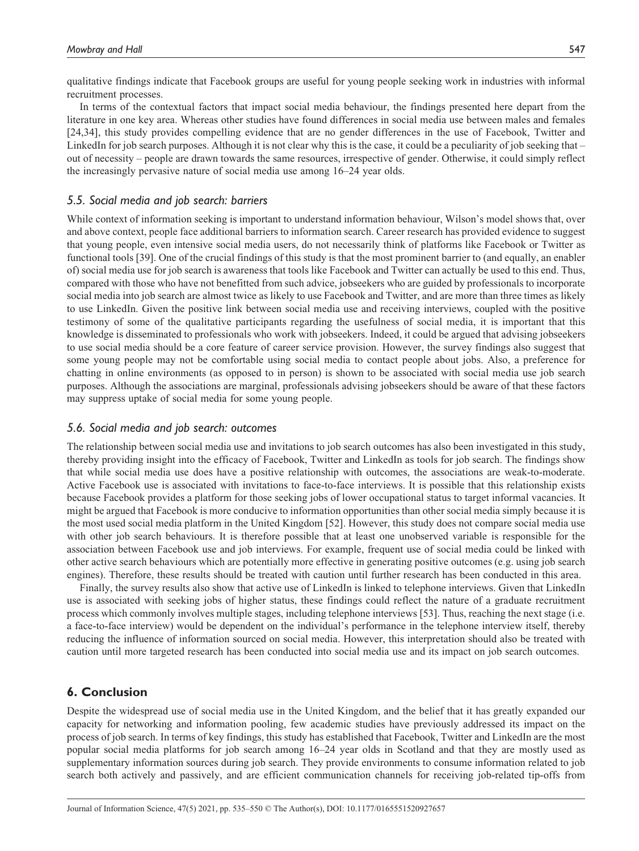qualitative findings indicate that Facebook groups are useful for young people seeking work in industries with informal recruitment processes.

In terms of the contextual factors that impact social media behaviour, the findings presented here depart from the literature in one key area. Whereas other studies have found differences in social media use between males and females [24,34], this study provides compelling evidence that are no gender differences in the use of Facebook, Twitter and LinkedIn for job search purposes. Although it is not clear why this is the case, it could be a peculiarity of job seeking that – out of necessity – people are drawn towards the same resources, irrespective of gender. Otherwise, it could simply reflect the increasingly pervasive nature of social media use among 16–24 year olds.

## 5.5. Social media and job search: barriers

While context of information seeking is important to understand information behaviour, Wilson's model shows that, over and above context, people face additional barriers to information search. Career research has provided evidence to suggest that young people, even intensive social media users, do not necessarily think of platforms like Facebook or Twitter as functional tools [39]. One of the crucial findings of this study is that the most prominent barrier to (and equally, an enabler of) social media use for job search is awareness that tools like Facebook and Twitter can actually be used to this end. Thus, compared with those who have not benefitted from such advice, jobseekers who are guided by professionals to incorporate social media into job search are almost twice as likely to use Facebook and Twitter, and are more than three times as likely to use LinkedIn. Given the positive link between social media use and receiving interviews, coupled with the positive testimony of some of the qualitative participants regarding the usefulness of social media, it is important that this knowledge is disseminated to professionals who work with jobseekers. Indeed, it could be argued that advising jobseekers to use social media should be a core feature of career service provision. However, the survey findings also suggest that some young people may not be comfortable using social media to contact people about jobs. Also, a preference for chatting in online environments (as opposed to in person) is shown to be associated with social media use job search purposes. Although the associations are marginal, professionals advising jobseekers should be aware of that these factors may suppress uptake of social media for some young people.

## 5.6. Social media and job search: outcomes

The relationship between social media use and invitations to job search outcomes has also been investigated in this study, thereby providing insight into the efficacy of Facebook, Twitter and LinkedIn as tools for job search. The findings show that while social media use does have a positive relationship with outcomes, the associations are weak-to-moderate. Active Facebook use is associated with invitations to face-to-face interviews. It is possible that this relationship exists because Facebook provides a platform for those seeking jobs of lower occupational status to target informal vacancies. It might be argued that Facebook is more conducive to information opportunities than other social media simply because it is the most used social media platform in the United Kingdom [52]. However, this study does not compare social media use with other job search behaviours. It is therefore possible that at least one unobserved variable is responsible for the association between Facebook use and job interviews. For example, frequent use of social media could be linked with other active search behaviours which are potentially more effective in generating positive outcomes (e.g. using job search engines). Therefore, these results should be treated with caution until further research has been conducted in this area.

Finally, the survey results also show that active use of LinkedIn is linked to telephone interviews. Given that LinkedIn use is associated with seeking jobs of higher status, these findings could reflect the nature of a graduate recruitment process which commonly involves multiple stages, including telephone interviews [53]. Thus, reaching the next stage (i.e. a face-to-face interview) would be dependent on the individual's performance in the telephone interview itself, thereby reducing the influence of information sourced on social media. However, this interpretation should also be treated with caution until more targeted research has been conducted into social media use and its impact on job search outcomes.

## 6. Conclusion

Despite the widespread use of social media use in the United Kingdom, and the belief that it has greatly expanded our capacity for networking and information pooling, few academic studies have previously addressed its impact on the process of job search. In terms of key findings, this study has established that Facebook, Twitter and LinkedIn are the most popular social media platforms for job search among 16–24 year olds in Scotland and that they are mostly used as supplementary information sources during job search. They provide environments to consume information related to job search both actively and passively, and are efficient communication channels for receiving job-related tip-offs from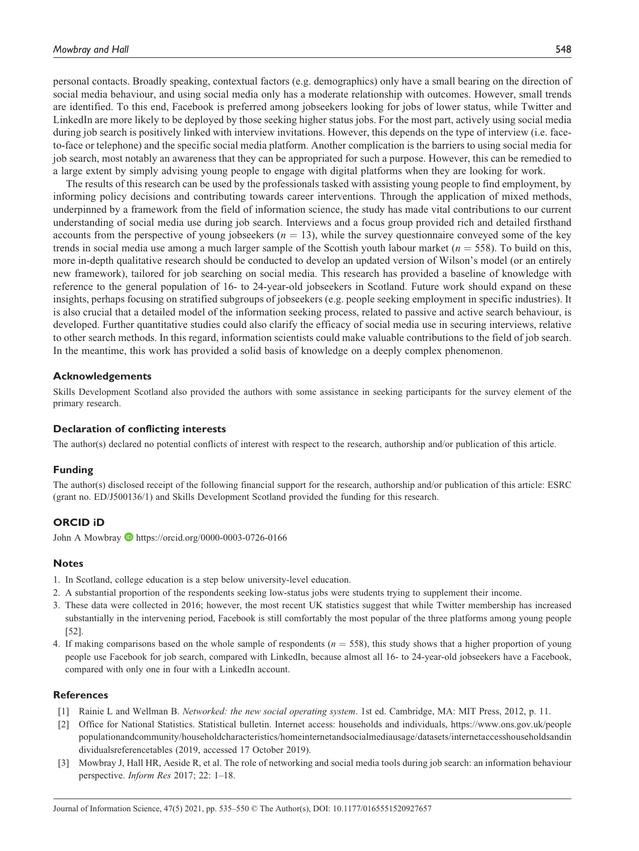personal contacts. Broadly speaking, contextual factors (e.g. demographics) only have a small bearing on the direction of social media behaviour, and using social media only has a moderate relationship with outcomes. However, small trends are identified. To this end, Facebook is preferred among jobseekers looking for jobs of lower status, while Twitter and LinkedIn are more likely to be deployed by those seeking higher status jobs. For the most part, actively using social media during job search is positively linked with interview invitations. However, this depends on the type of interview (i.e. faceto-face or telephone) and the specific social media platform. Another complication is the barriers to using social media for job search, most notably an awareness that they can be appropriated for such a purpose. However, this can be remedied to a large extent by simply advising young people to engage with digital platforms when they are looking for work.

The results of this research can be used by the professionals tasked with assisting young people to find employment, by informing policy decisions and contributing towards career interventions. Through the application of mixed methods, underpinned by a framework from the field of information science, the study has made vital contributions to our current understanding of social media use during job search. Interviews and a focus group provided rich and detailed firsthand accounts from the perspective of young jobseekers  $(n = 13)$ , while the survey questionnaire conveyed some of the key trends in social media use among a much larger sample of the Scottish youth labour market ( $n = 558$ ). To build on this, more in-depth qualitative research should be conducted to develop an updated version of Wilson's model (or an entirely new framework), tailored for job searching on social media. This research has provided a baseline of knowledge with reference to the general population of 16- to 24-year-old jobseekers in Scotland. Future work should expand on these insights, perhaps focusing on stratified subgroups of jobseekers (e.g. people seeking employment in specific industries). It is also crucial that a detailed model of the information seeking process, related to passive and active search behaviour, is developed. Further quantitative studies could also clarify the efficacy of social media use in securing interviews, relative to other search methods. In this regard, information scientists could make valuable contributions to the field of job search. In the meantime, this work has provided a solid basis of knowledge on a deeply complex phenomenon.

#### Acknowledgements

Skills Development Scotland also provided the authors with some assistance in seeking participants for the survey element of the primary research.

#### Declaration of conflicting interests

The author(s) declared no potential conflicts of interest with respect to the research, authorship and/or publication of this article.

#### Funding

The author(s) disclosed receipt of the following financial support for the research, authorship and/or publication of this article: ESRC (grant no. ED/J500136/1) and Skills Development Scotland provided the funding for this research.

#### ORCID iD

John A Mowbray https://orcid.org/0000-0003-0726-0166

#### **Notes**

- 1. In Scotland, college education is a step below university-level education.
- 2. A substantial proportion of the respondents seeking low-status jobs were students trying to supplement their income.
- 3. These data were collected in 2016; however, the most recent UK statistics suggest that while Twitter membership has increased substantially in the intervening period, Facebook is still comfortably the most popular of the three platforms among young people [52].
- 4. If making comparisons based on the whole sample of respondents  $(n = 558)$ , this study shows that a higher proportion of young people use Facebook for job search, compared with LinkedIn, because almost all 16- to 24-year-old jobseekers have a Facebook, compared with only one in four with a LinkedIn account.

#### References

- [1] Rainie L and Wellman B. Networked: the new social operating system. 1st ed. Cambridge, MA: MIT Press, 2012, p. 11.
- [2] Office for National Statistics. Statistical bulletin. Internet access: households and individuals, https://www.ons.gov.uk/people populationandcommunity/householdcharacteristics/homeinternetandsocialmediausage/datasets/internetaccesshouseholdsandin dividualsreferencetables (2019, accessed 17 October 2019).
- [3] Mowbray J, Hall HR, Aeside R, et al. The role of networking and social media tools during job search: an information behaviour perspective. Inform Res 2017; 22: 1–18.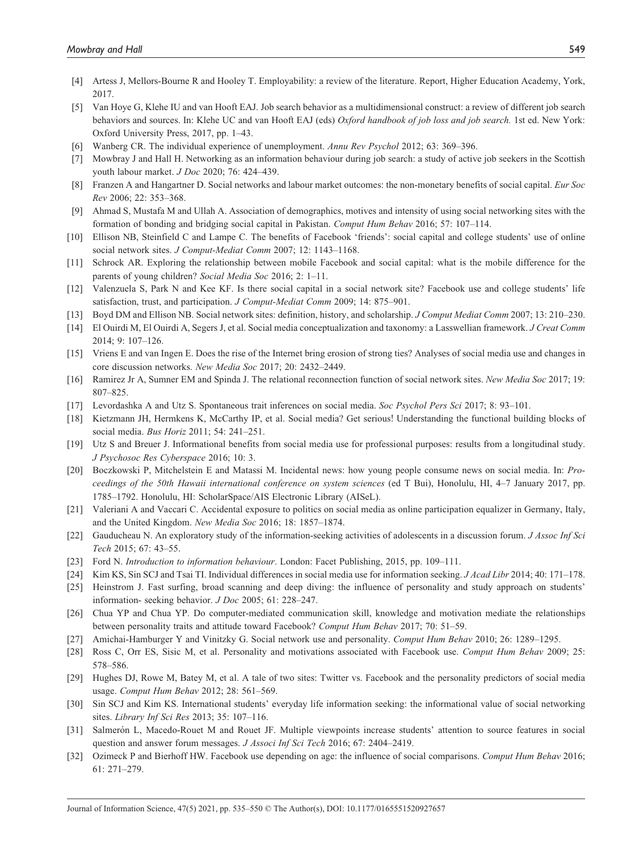- [4] Artess J, Mellors-Bourne R and Hooley T. Employability: a review of the literature. Report, Higher Education Academy, York, 2017.
- [5] Van Hoye G, Klehe IU and van Hooft EAJ. Job search behavior as a multidimensional construct: a review of different job search behaviors and sources. In: Klehe UC and van Hooft EAJ (eds) Oxford handbook of job loss and job search. 1st ed. New York: Oxford University Press, 2017, pp. 1–43.
- [6] Wanberg CR. The individual experience of unemployment. Annu Rev Psychol 2012; 63: 369–396.
- [7] Mowbray J and Hall H. Networking as an information behaviour during job search: a study of active job seekers in the Scottish youth labour market. J Doc 2020; 76: 424–439.
- [8] Franzen A and Hangartner D. Social networks and labour market outcomes: the non-monetary benefits of social capital. Eur Soc Rev 2006; 22: 353–368.
- [9] Ahmad S, Mustafa M and Ullah A. Association of demographics, motives and intensity of using social networking sites with the formation of bonding and bridging social capital in Pakistan. Comput Hum Behav 2016; 57: 107–114.
- [10] Ellison NB, Steinfield C and Lampe C. The benefits of Facebook 'friends': social capital and college students' use of online social network sites. J Comput-Mediat Comm 2007; 12: 1143–1168.
- [11] Schrock AR. Exploring the relationship between mobile Facebook and social capital: what is the mobile difference for the parents of young children? Social Media Soc 2016; 2: 1–11.
- [12] Valenzuela S, Park N and Kee KF. Is there social capital in a social network site? Facebook use and college students' life satisfaction, trust, and participation. J Comput-Mediat Comm 2009; 14: 875–901.
- [13] Boyd DM and Ellison NB. Social network sites: definition, history, and scholarship. J Comput Mediat Comm 2007; 13: 210–230.
- [14] El Ouirdi M, El Ouirdi A, Segers J, et al. Social media conceptualization and taxonomy: a Lasswellian framework. *J Creat Comm* 2014; 9: 107–126.
- [15] Vriens E and van Ingen E. Does the rise of the Internet bring erosion of strong ties? Analyses of social media use and changes in core discussion networks. New Media Soc 2017; 20: 2432–2449.
- [16] Ramirez Jr A, Sumner EM and Spinda J. The relational reconnection function of social network sites. New Media Soc 2017; 19: 807–825.
- [17] Levordashka A and Utz S. Spontaneous trait inferences on social media. Soc Psychol Pers Sci 2017; 8: 93–101.
- [18] Kietzmann JH, Hermkens K, McCarthy IP, et al. Social media? Get serious! Understanding the functional building blocks of social media. Bus Horiz 2011; 54: 241–251.
- [19] Utz S and Breuer J. Informational benefits from social media use for professional purposes: results from a longitudinal study. J Psychosoc Res Cyberspace 2016; 10: 3.
- [20] Boczkowski P, Mitchelstein E and Matassi M. Incidental news: how young people consume news on social media. In: Proceedings of the 50th Hawaii international conference on system sciences (ed T Bui), Honolulu, HI, 4–7 January 2017, pp. 1785–1792. Honolulu, HI: ScholarSpace/AIS Electronic Library (AISeL).
- [21] Valeriani A and Vaccari C. Accidental exposure to politics on social media as online participation equalizer in Germany, Italy, and the United Kingdom. New Media Soc 2016; 18: 1857–1874.
- [22] Gauducheau N. An exploratory study of the information-seeking activities of adolescents in a discussion forum. *J Assoc Inf Sci* Tech 2015; 67: 43–55.
- [23] Ford N. Introduction to information behaviour. London: Facet Publishing, 2015, pp. 109–111.
- [24] Kim KS, Sin SCJ and Tsai TI. Individual differences in social media use for information seeking. J Acad Libr 2014; 40: 171–178.
- [25] Heinstrom J. Fast surfing, broad scanning and deep diving: the influence of personality and study approach on students' information- seeking behavior. J Doc 2005; 61: 228–247.
- [26] Chua YP and Chua YP. Do computer-mediated communication skill, knowledge and motivation mediate the relationships between personality traits and attitude toward Facebook? Comput Hum Behav 2017; 70: 51–59.
- [27] Amichai-Hamburger Y and Vinitzky G. Social network use and personality. Comput Hum Behav 2010; 26: 1289–1295.
- [28] Ross C, Orr ES, Sisic M, et al. Personality and motivations associated with Facebook use. Comput Hum Behav 2009; 25: 578–586.
- [29] Hughes DJ, Rowe M, Batey M, et al. A tale of two sites: Twitter vs. Facebook and the personality predictors of social media usage. Comput Hum Behav 2012; 28: 561–569.
- [30] Sin SCJ and Kim KS. International students' everyday life information seeking: the informational value of social networking sites. Library Inf Sci Res 2013; 35: 107–116.
- [31] Salmerón L, Macedo-Rouet M and Rouet JF. Multiple viewpoints increase students' attention to source features in social question and answer forum messages. J Associ Inf Sci Tech 2016; 67: 2404–2419.
- [32] Ozimeck P and Bierhoff HW. Facebook use depending on age: the influence of social comparisons. Comput Hum Behav 2016; 61: 271–279.